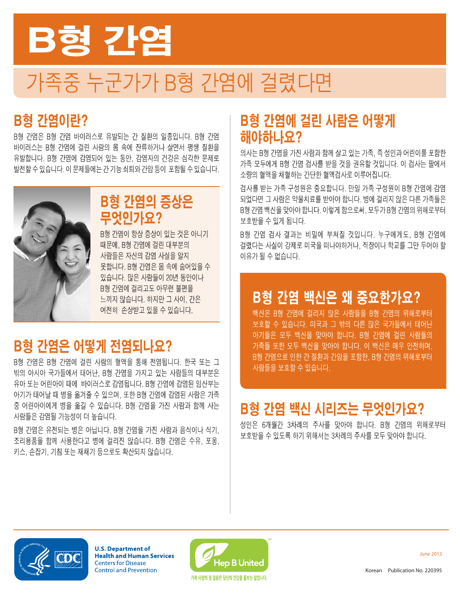

# 가족중 누군가가 B형 간염에 걸렸다면

# **B형 간염이란?**

B형 간염은 B형 간염 바이러스로 유발되는 간 질환의 일종입니다. B형 간염 바이러스는 B형 간염에 걸린 사람의 몸 속에 잔류하거나 살면서 평생 질환을 유발합니다. B형 간염에 감염되어 있는 동안, 감염자의 건강은 심각한 문제로 발전할 수 있습니다. 이 문제들에는 간 기능 쇠퇴와 간암 등이 포함될 수 있습니다.



### **B형 간염의 증상은** 무엇인가요?

B형 간염이 항상 증상이 있는 것은 아니기 때문에, B형 간염에 걸린 대부분의 사람들은 자신의 감염 사실을 알지 못합니다. B형 간염은 몸 속에 숨어있을 수 있습니다. 많은 사람들이 20년 동안이나 B형 가염에 걸리고도 아무런 불편을 느끼지 않습니다. 하지만 그 사이, 간은 여전히 손상받고 있을 수 있습니다.

# B형 간염은 어떻게 전염되나요?

B형 가염은 B형 가염에 걸린 사람의 혈액을 통해 전염됩니다. 한국 또는 그 밖의 아시아 국가들에서 태어난, B형 간염을 가지고 있는 사람들의 대부분은 유아 또는 어린아이 때에 바이러스로 감염됩니다. B형 가염에 감염된 임산부는 아기가 태어날 때 병을 옮겨줄 수 있으며, 또한 B형 간염에 감염된 사람은 가족 중 어린아이에게 병을 옮길 수 있습니다. B형 간염을 가진 사람과 함께 사는 사람들은 감염될 가능성이 더 높습니다.

B형 가염은 유전되는 병은 아닙니다. B형 가염을 가진 사람과 음식이나 식기. 조리용품을 함께 사용한다고 병에 걸리진 않습니다. B형 간염은 수유, 포옹, 키스, 손잡기, 기침 또는 재채기 등으로도 확산되지 않습니다.

# **B형 간염에 걸린 사람은 어떻게** 해야하나요?

의사는 B형 간염을 가진 사람과 함께 살고 있는 가족, 즉 성인과 어린이를 포함한 가족 모두에게 B형 간염 검사를 받을 것을 권유할 것입니다. 이 검사는 팔에서 소량의 혈액을 채혈하는 간단한 혈액검사로 이루어집니다.

검사를 받는 가족 구성원은 중요합니다. 만일 가족 구성원이 B형 간염에 감염 되었다면 그 사람은 약물치료를 받아야 합니다. 병에 걸리지 않은 다른 가족들은 B형 간염 백신을 맞아야 합니다. 이렇게 함으로써, 모두가 B형 간염의 위해로부터 보호받을 수 있게 됩니다.

B형 간염 검사 결과는 비밀에 부쳐질 것입니다. 누구에게도, B형 간염에 걸렸다는 사실이 강제로 미국을 떠나야하거나, 직장이나 학교를 그만 두어야 할 이유가 될 수 없습니다.

# B형 간염 백신은 왜 중요한가요?

백신은 B형 간염에 걸리지 않은 사람들을 B형 간염의 위해로부터 보호할 수 있습니다. 미국과 그 밖의 다른 많은 국가들에서 태어난 아기들은 모두 백신을 맞아야 합니다. B형 간염에 걸린 사람들의 가족들 또한 모두 백신을 맞아야 합니다. 이 백신은 매우 안전하며, B형 간염으로 인한 간 질환과 간암을 포함한, B형 간염의 위해로부터 사람들을 보호할 수 있습니다.

# B형 간염 백신 시리즈는 무엇인가요?

성인은 6개월간 3차례의 주사를 맞아야 합니다. B형 간염의 위해로부터 보호받을 수 있도록 하기 위해서는 3차례의 주사를 모두 맞아야 합니다.



**U.S. Department of Health and Human Services Centers for Disease Control and Prevention** 



**June 2013**